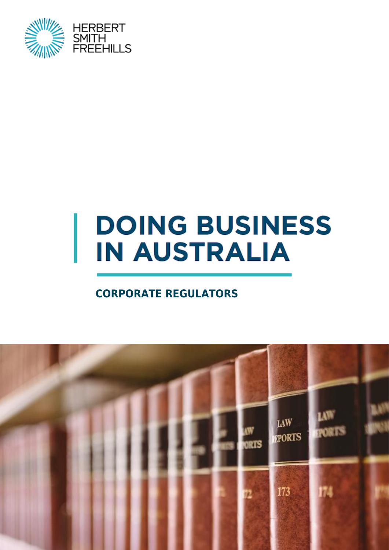

# **DOING BUSINESS IN AUSTRALIA**

### **CORPORATE REGULATORS**

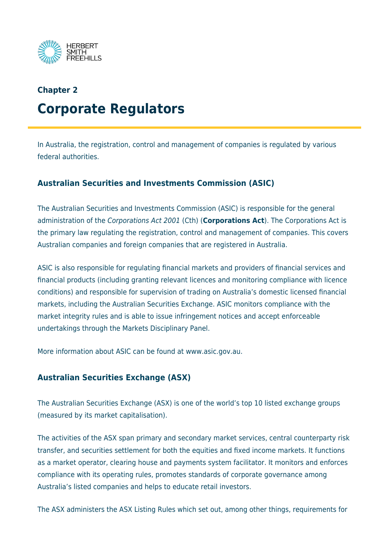

# **Chapter 2 Corporate Regulators**

In Australia, the registration, control and management of companies is regulated by various federal authorities.

#### **Australian Securities and Investments Commission (ASIC)**

The Australian Securities and Investments Commission (ASIC) is responsible for the general administration of the Corporations Act 2001 (Cth) (**Corporations Act**). The Corporations Act is the primary law regulating the registration, control and management of companies. This covers Australian companies and foreign companies that are registered in Australia.

ASIC is also responsible for regulating financial markets and providers of financial services and financial products (including granting relevant licences and monitoring compliance with licence conditions) and responsible for supervision of trading on Australia's domestic licensed financial markets, including the Australian Securities Exchange. ASIC monitors compliance with the market integrity rules and is able to issue infringement notices and accept enforceable undertakings through the Markets Disciplinary Panel.

More information about ASIC can be found at www.asic.gov.au.

#### **Australian Securities Exchange (ASX)**

The Australian Securities Exchange (ASX) is one of the world's top 10 listed exchange groups (measured by its market capitalisation).

The activities of the ASX span primary and secondary market services, central counterparty risk transfer, and securities settlement for both the equities and fixed income markets. It functions as a market operator, clearing house and payments system facilitator. It monitors and enforces compliance with its operating rules, promotes standards of corporate governance among Australia's listed companies and helps to educate retail investors.

The ASX administers the ASX Listing Rules which set out, among other things, requirements for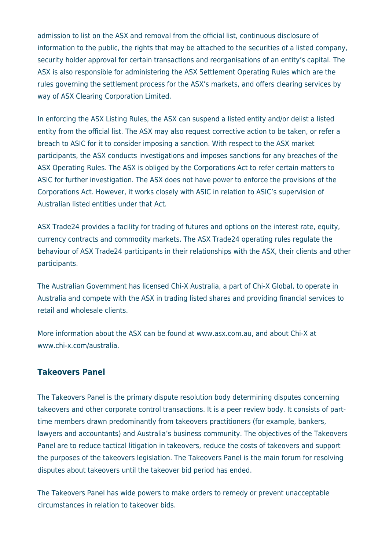admission to list on the ASX and removal from the official list, continuous disclosure of information to the public, the rights that may be attached to the securities of a listed company, security holder approval for certain transactions and reorganisations of an entity's capital. The ASX is also responsible for administering the ASX Settlement Operating Rules which are the rules governing the settlement process for the ASX's markets, and offers clearing services by way of ASX Clearing Corporation Limited.

In enforcing the ASX Listing Rules, the ASX can suspend a listed entity and/or delist a listed entity from the official list. The ASX may also request corrective action to be taken, or refer a breach to ASIC for it to consider imposing a sanction. With respect to the ASX market participants, the ASX conducts investigations and imposes sanctions for any breaches of the ASX Operating Rules. The ASX is obliged by the Corporations Act to refer certain matters to ASIC for further investigation. The ASX does not have power to enforce the provisions of the Corporations Act. However, it works closely with ASIC in relation to ASIC's supervision of Australian listed entities under that Act.

ASX Trade24 provides a facility for trading of futures and options on the interest rate, equity, currency contracts and commodity markets. The ASX Trade24 operating rules regulate the behaviour of ASX Trade24 participants in their relationships with the ASX, their clients and other participants.

The Australian Government has licensed Chi-X Australia, a part of Chi-X Global, to operate in Australia and compete with the ASX in trading listed shares and providing financial services to retail and wholesale clients.

More information about the ASX can be found at www.asx.com.au, and about Chi-X at www.chi-x.com/australia.

#### **Takeovers Panel**

The Takeovers Panel is the primary dispute resolution body determining disputes concerning takeovers and other corporate control transactions. It is a peer review body. It consists of parttime members drawn predominantly from takeovers practitioners (for example, bankers, lawyers and accountants) and Australia's business community. The objectives of the Takeovers Panel are to reduce tactical litigation in takeovers, reduce the costs of takeovers and support the purposes of the takeovers legislation. The Takeovers Panel is the main forum for resolving disputes about takeovers until the takeover bid period has ended.

The Takeovers Panel has wide powers to make orders to remedy or prevent unacceptable circumstances in relation to takeover bids.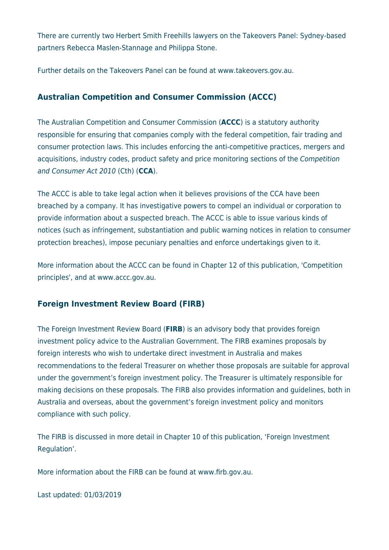There are currently two Herbert Smith Freehills lawyers on the Takeovers Panel: Sydney-based partners Rebecca Maslen-Stannage and Philippa Stone.

Further details on the Takeovers Panel can be found at www.takeovers.gov.au.

#### **Australian Competition and Consumer Commission (ACCC)**

The Australian Competition and Consumer Commission (**ACCC**) is a statutory authority responsible for ensuring that companies comply with the federal competition, fair trading and consumer protection laws. This includes enforcing the anti-competitive practices, mergers and acquisitions, industry codes, product safety and price monitoring sections of the Competition and Consumer Act 2010 (Cth) (**CCA**).

The ACCC is able to take legal action when it believes provisions of the CCA have been breached by a company. It has investigative powers to compel an individual or corporation to provide information about a suspected breach. The ACCC is able to issue various kinds of notices (such as infringement, substantiation and public warning notices in relation to consumer protection breaches), impose pecuniary penalties and enforce undertakings given to it.

More information about the ACCC can be found in Chapter 12 of this publication, 'Competition principles', and at www.accc.gov.au.

#### **Foreign Investment Review Board (FIRB)**

The Foreign Investment Review Board (**FIRB**) is an advisory body that provides foreign investment policy advice to the Australian Government. The FIRB examines proposals by foreign interests who wish to undertake direct investment in Australia and makes recommendations to the federal Treasurer on whether those proposals are suitable for approval under the government's foreign investment policy. The Treasurer is ultimately responsible for making decisions on these proposals. The FIRB also provides information and guidelines, both in Australia and overseas, about the government's foreign investment policy and monitors compliance with such policy.

The FIRB is discussed in more detail in Chapter 10 of this publication, 'Foreign Investment Regulation'.

More information about the FIRB can be found at www.firb.gov.au.

Last updated: 01/03/2019